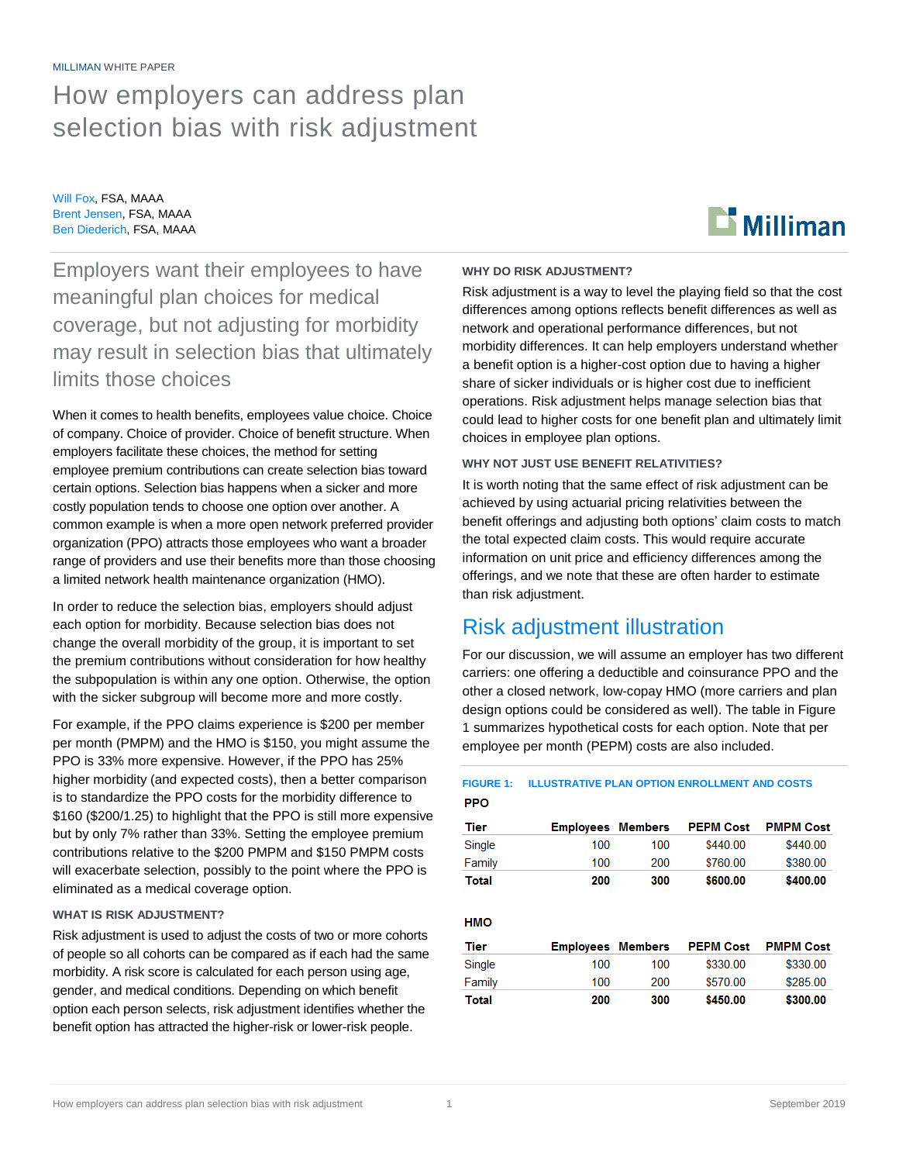MILLIMAN WHITE PAPER

# How employers can address plan selection bias with risk adjustment

Will Fox, FSA, MAAA Brent Jensen, FSA, MAAA Ben Diederich, FSA, MAAA



Employers want their employees to have meaningful plan choices for medical coverage, but not adjusting for morbidity may result in selection bias that ultimately limits those choices

When it comes to health benefits, employees value choice. Choice of company. Choice of provider. Choice of benefit structure. When employers facilitate these choices, the method for setting employee premium contributions can create selection bias toward certain options. Selection bias happens when a sicker and more costly population tends to choose one option over another. A common example is when a more open network preferred provider organization (PPO) attracts those employees who want a broader range of providers and use their benefits more than those choosing a limited network health maintenance organization (HMO).

In order to reduce the selection bias, employers should adjust each option for morbidity. Because selection bias does not change the overall morbidity of the group, it is important to set the premium contributions without consideration for how healthy the subpopulation is within any one option. Otherwise, the option with the sicker subgroup will become more and more costly.

For example, if the PPO claims experience is \$200 per member per month (PMPM) and the HMO is \$150, you might assume the PPO is 33% more expensive. However, if the PPO has 25% higher morbidity (and expected costs), then a better comparison is to standardize the PPO costs for the morbidity difference to \$160 (\$200/1.25) to highlight that the PPO is still more expensive but by only 7% rather than 33%. Setting the employee premium contributions relative to the \$200 PMPM and \$150 PMPM costs will exacerbate selection, possibly to the point where the PPO is eliminated as a medical coverage option.

#### **WHAT IS RISK ADJUSTMENT?**

Risk adjustment is used to adjust the costs of two or more cohorts of people so all cohorts can be compared as if each had the same morbidity. A risk score is calculated for each person using age, gender, and medical conditions. Depending on which benefit option each person selects, risk adjustment identifies whether the benefit option has attracted the higher-risk or lower-risk people.

#### **WHY DO RISK ADJUSTMENT?**

Risk adjustment is a way to level the playing field so that the cost differences among options reflects benefit differences as well as network and operational performance differences, but not morbidity differences. It can help employers understand whether a benefit option is a higher-cost option due to having a higher share of sicker individuals or is higher cost due to inefficient operations. Risk adjustment helps manage selection bias that could lead to higher costs for one benefit plan and ultimately limit choices in employee plan options.

#### **WHY NOT JUST USE BENEFIT RELATIVITIES?**

It is worth noting that the same effect of risk adjustment can be achieved by using actuarial pricing relativities between the benefit offerings and adjusting both options' claim costs to match the total expected claim costs. This would require accurate information on unit price and efficiency differences among the offerings, and we note that these are often harder to estimate than risk adjustment.

# Risk adjustment illustration

For our discussion, we will assume an employer has two different carriers: one offering a deductible and coinsurance PPO and the other a closed network, low-copay HMO (more carriers and plan design options could be considered as well). The table in Figure 1 summarizes hypothetical costs for each option. Note that per employee per month (PEPM) costs are also included.

#### **FIGURE 1: ILLUSTRATIVE PLAN OPTION ENROLLMENT AND COSTSPPO**

| Tier   | <b>Employees Members</b> |     | <b>PEPM Cost</b> | <b>PMPM Cost</b> |
|--------|--------------------------|-----|------------------|------------------|
| Single | 100                      | 100 | \$440.00         | \$440.00         |
| Family | 100                      | 200 | \$760.00         | \$380.00         |
| Total  | 200                      | 300 | \$600.00         | \$400.00         |

**HMO** 

| Tier   | <b>Employees Members</b> |      | <b>PEPM Cost</b> | <b>PMPM Cost</b> |
|--------|--------------------------|------|------------------|------------------|
| Single | 100                      | 100. | \$330.00         | \$330.00         |
| Family | 100                      | 200  | \$570.00         | \$285.00         |
| Total  | 200                      | 300  | \$450.00         | \$300.00         |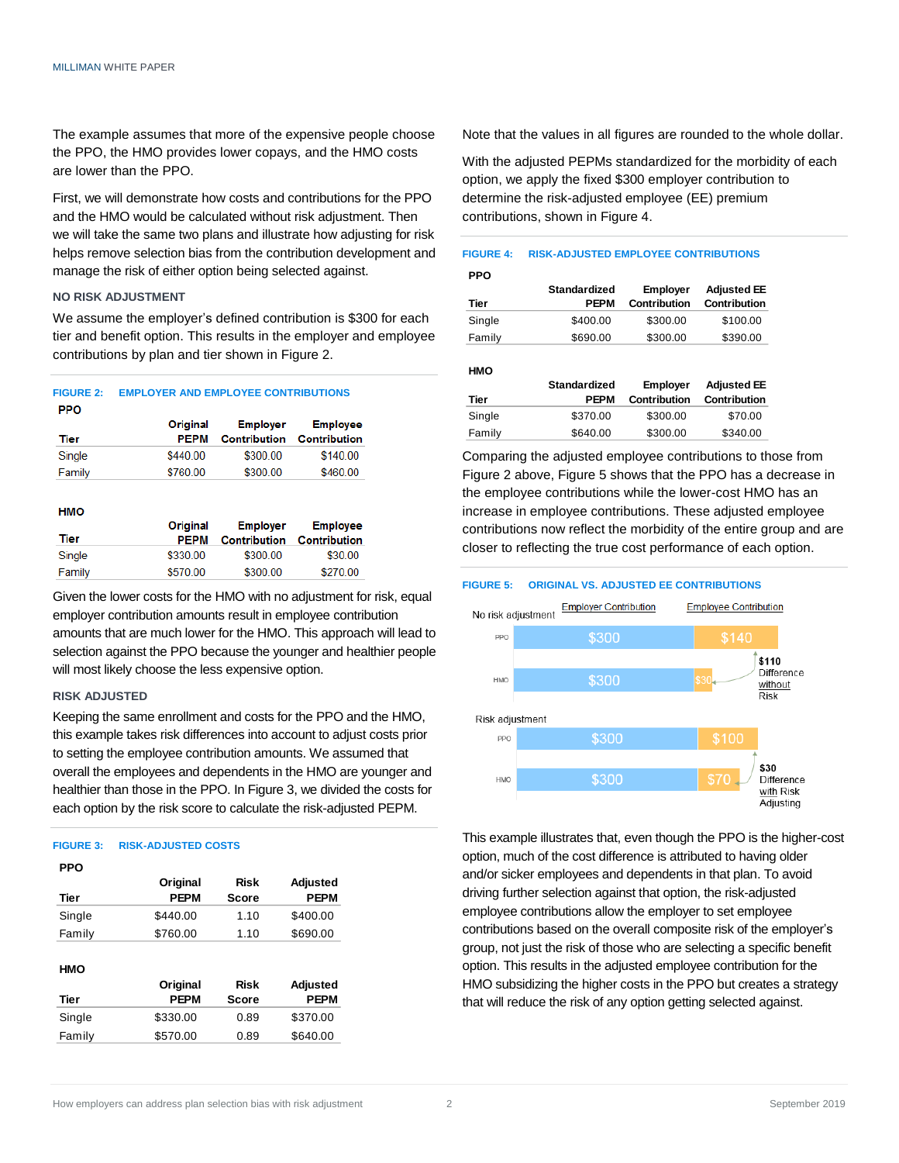The example assumes that more of the expensive people choose the PPO, the HMO provides lower copays, and the HMO costs are lower than the PPO.

First, we will demonstrate how costs and contributions for the PPO and the HMO would be calculated without risk adjustment. Then we will take the same two plans and illustrate how adjusting for risk helps remove selection bias from the contribution development and manage the risk of either option being selected against.

#### **NO RISK ADJUSTMENT**

We assume the employer's defined contribution is \$300 for each tier and benefit option. This results in the employer and employee contributions by plan and tier shown in Figure 2.

### **FIGURE 2: EMPLOYER AND EMPLOYEE CONTRIBUTIONS**

| PPO.   |             |                     |                     |
|--------|-------------|---------------------|---------------------|
|        | Original    | <b>Employer</b>     | <b>Employee</b>     |
| Tier   | <b>PEPM</b> | <b>Contribution</b> | <b>Contribution</b> |
| Single | \$440.00    | \$300.00            | \$140.00            |
| Family | \$760.00    | \$300.00            | \$460.00            |

#### **HMO**

|        | <b>Original</b> | <b>Employer</b>     | <b>Employee</b> |
|--------|-----------------|---------------------|-----------------|
| Tier   | <b>PEPM</b>     | <b>Contribution</b> | Contribution    |
| Single | \$330.00        | \$300.00            | \$30.00         |
| Family | \$570.00        | \$300.00            | \$270.00        |

Given the lower costs for the HMO with no adjustment for risk, equal employer contribution amounts result in employee contribution amounts that are much lower for the HMO. This approach will lead to selection against the PPO because the younger and healthier people will most likely choose the less expensive option.

#### **RISK ADJUSTED**

Keeping the same enrollment and costs for the PPO and the HMO, this example takes risk differences into account to adjust costs prior to setting the employee contribution amounts. We assumed that overall the employees and dependents in the HMO are younger and healthier than those in the PPO. In Figure 3, we divided the costs for each option by the risk score to calculate the risk-adjusted PEPM.

#### **FIGURE 3: RISK-ADJUSTED COSTS**

| <b>PPO</b> |             |              |                 |
|------------|-------------|--------------|-----------------|
|            | Original    | <b>Risk</b>  | <b>Adjusted</b> |
| Tier       | <b>PEPM</b> | <b>Score</b> | <b>PEPM</b>     |
| Single     | \$440.00    | 1.10         | \$400.00        |
| Family     | \$760.00    | 1.10         | \$690.00        |
|            |             |              |                 |
| HMO        |             |              |                 |
|            | Original    | <b>Risk</b>  | <b>Adjusted</b> |
| Tier       | <b>PEPM</b> | Score        | <b>PEPM</b>     |
| Single     | \$330.00    | 0.89         | \$370.00        |
| Family     | \$570.00    | 0.89         | \$640.00        |

Note that the values in all figures are rounded to the whole dollar.

With the adjusted PEPMs standardized for the morbidity of each option, we apply the fixed \$300 employer contribution to determine the risk-adjusted employee (EE) premium contributions, shown in Figure 4.



**HMO**

| <b>NIND</b> | <b>Standardized</b> | <b>Employer</b> | <b>Adjusted EE</b> |
|-------------|---------------------|-----------------|--------------------|
| Tier        | <b>PEPM</b>         | Contribution    | Contribution       |
| Single      | \$370.00            | \$300.00        | \$70.00            |
| Family      | \$640.00            | \$300.00        | \$340.00           |

Comparing the adjusted employee contributions to those from Figure 2 above, Figure 5 shows that the PPO has a decrease in the employee contributions while the lower-cost HMO has an increase in employee contributions. These adjusted employee contributions now reflect the morbidity of the entire group and are closer to reflecting the true cost performance of each option.

#### **FIGURE 5: ORIGINAL VS. ADJUSTED EE CONTRIBUTIONS**



This example illustrates that, even though the PPO is the higher-cost option, much of the cost difference is attributed to having older and/or sicker employees and dependents in that plan. To avoid driving further selection against that option, the risk-adjusted employee contributions allow the employer to set employee contributions based on the overall composite risk of the employer's group, not just the risk of those who are selecting a specific benefit option. This results in the adjusted employee contribution for the HMO subsidizing the higher costs in the PPO but creates a strategy that will reduce the risk of any option getting selected against.